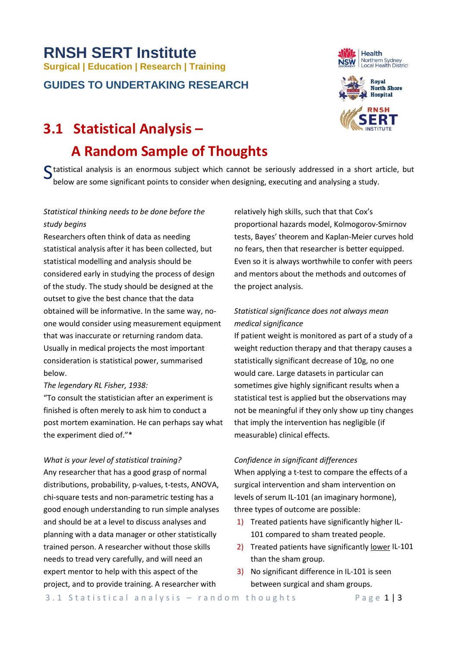# **RNSH SERT Institute Surgical | Education | Research | Training GUIDES TO UNDERTAKING RESEARCH**

# **3.1 Statistical Analysis –**

# **A Random Sample of Thoughts**

Statistical analysis is an enormous subject which cannot be seriously addressed in a short article, but below are some significant points to consider when designing executing and analysing a study. below are some significant points to consider when designing, executing and analysing a study.

# *Statistical thinking needs to be done before the study begins*

Researchers often think of data as needing statistical analysis after it has been collected, but statistical modelling and analysis should be considered early in studying the process of design of the study. The study should be designed at the outset to give the best chance that the data obtained will be informative. In the same way, noone would consider using measurement equipment that was inaccurate or returning random data. Usually in medical projects the most important consideration is statistical power, summarised below.

## *The legendary RL Fisher, 1938:*

"To consult the statistician after an experiment is finished is often merely to ask him to conduct a post mortem examination. He can perhaps say what the experiment died of."\*

## *What is your level of statistical training?*

Any researcher that has a good grasp of normal distributions, probability, p-values, t-tests, ANOVA, chi-square tests and non-parametric testing has a good enough understanding to run simple analyses and should be at a level to discuss analyses and planning with a data manager or other statistically trained person. A researcher without those skills needs to tread very carefully, and will need an expert mentor to help with this aspect of the project, and to provide training. A researcher with

relatively high skills, such that that Cox's proportional hazards model, Kolmogorov-Smirnov tests, Bayes' theorem and Kaplan-Meier curves hold no fears, then that researcher is better equipped. Even so it is always worthwhile to confer with peers and mentors about the methods and outcomes of the project analysis.

# *Statistical significance does not always mean medical significance*

If patient weight is monitored as part of a study of a weight reduction therapy and that therapy causes a statistically significant decrease of 10g, no one would care. Large datasets in particular can sometimes give highly significant results when a statistical test is applied but the observations may not be meaningful if they only show up tiny changes that imply the intervention has negligible (if measurable) clinical effects.

## *Confidence in significant differences*

When applying a t-test to compare the effects of a surgical intervention and sham intervention on levels of serum IL-101 (an imaginary hormone), three types of outcome are possible:

- 1) Treated patients have significantly higher IL-101 compared to sham treated people.
- 2) Treated patients have significantly lower IL-101 than the sham group.
- 3) No significant difference in IL-101 is seen between surgical and sham groups.



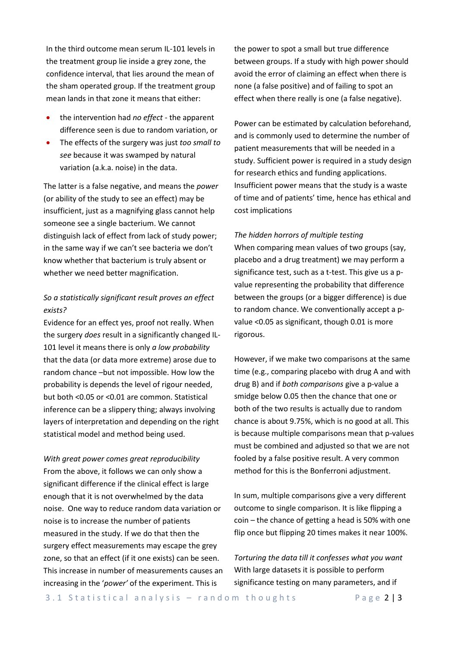In the third outcome mean serum IL-101 levels in the treatment group lie inside a grey zone, the confidence interval, that lies around the mean of the sham operated group. If the treatment group mean lands in that zone it means that either:

- the intervention had *no effect* the apparent difference seen is due to random variation, or
- The effects of the surgery was just *too small to see* because it was swamped by natural variation (a.k.a. noise) in the data.

The latter is a false negative, and means the *power* (or ability of the study to see an effect) may be insufficient, just as a magnifying glass cannot help someone see a single bacterium. We cannot distinguish lack of effect from lack of study power; in the same way if we can't see bacteria we don't know whether that bacterium is truly absent or whether we need better magnification.

# *So a statistically significant result proves an effect exists?*

Evidence for an effect yes, proof not really. When the surgery *does* result in a significantly changed IL-101 level it means there is only *a low probability* that the data (or data more extreme) arose due to random chance –but not impossible. How low the probability is depends the level of rigour needed, but both <0.05 or <0.01 are common. Statistical inference can be a slippery thing; always involving layers of interpretation and depending on the right statistical model and method being used.

*With great power comes great reproducibility* From the above, it follows we can only show a significant difference if the clinical effect is large enough that it is not overwhelmed by the data noise. One way to reduce random data variation or noise is to increase the number of patients measured in the study. If we do that then the surgery effect measurements may escape the grey zone, so that an effect (if it one exists) can be seen. This increase in number of measurements causes an increasing in the '*power'* of the experiment. This is

the power to spot a small but true difference between groups. If a study with high power should avoid the error of claiming an effect when there is none (a false positive) and of failing to spot an effect when there really is one (a false negative).

Power can be estimated by calculation beforehand, and is commonly used to determine the number of patient measurements that will be needed in a study. Sufficient power is required in a study design for research ethics and funding applications. Insufficient power means that the study is a waste of time and of patients' time, hence has ethical and cost implications

#### *The hidden horrors of multiple testing*

When comparing mean values of two groups (say, placebo and a drug treatment) we may perform a significance test, such as a t-test. This give us a pvalue representing the probability that difference between the groups (or a bigger difference) is due to random chance. We conventionally accept a pvalue <0.05 as significant, though 0.01 is more rigorous.

However, if we make two comparisons at the same time (e.g., comparing placebo with drug A and with drug B) and if *both comparisons* give a p-value a smidge below 0.05 then the chance that one or both of the two results is actually due to random chance is about 9.75%, which is no good at all. This is because multiple comparisons mean that p-values must be combined and adjusted so that we are not fooled by a false positive result. A very common method for this is the Bonferroni adjustment.

In sum, multiple comparisons give a very different outcome to single comparison. It is like flipping a coin – the chance of getting a head is 50% with one flip once but flipping 20 times makes it near 100%.

*Torturing the data till it confesses what you want* With large datasets it is possible to perform significance testing on many parameters, and if